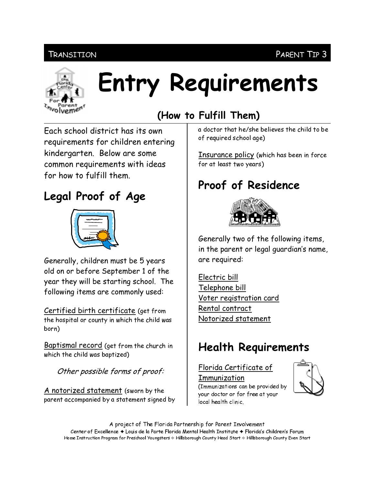## Transition



# Entry Requirements

# Fach school district has its own requirements for children entering

kindergarten. Below are some common requirements with ideas for how to fulfill them.

# Legal Proof of Age



Generally, children must be 5 years old on or before September 1 of the year they will be starting school. The following items are commonly used:

Certified birth certificate (get from the hospital or county in which the child was born)

Baptismal record (get from the church in which the child was baptized)

Other possible forms of proof:

A notorized statement (sworn by the parent accompanied by a statement signed by

## (How to Fulfill Them)

a doctor that he/she believes the child to be of required school age)

PARENT TIP 3

Insurance policy (which has been in force for at least two years)

## Proof of Residence



Generally two of the following items, in the parent or legal guardian's name, are required:

Electric bill Telephone bill Voter registration card Rental contract Notorized statement

## **Health Requirements**

#### Florida Certificate of Immunization



(Immunizations can be provided by your doctor or for free at your local health clinic.

A project of The Florida Partnership for Parent Involvement Center of Excellence ♦ Louis de la Parte Florida Mental Health Institute ♦ Florida's Children's Forum Home Instruction Program for Preschool Youngsters & Hillsborough County Head Start & Hillsborough County Even Start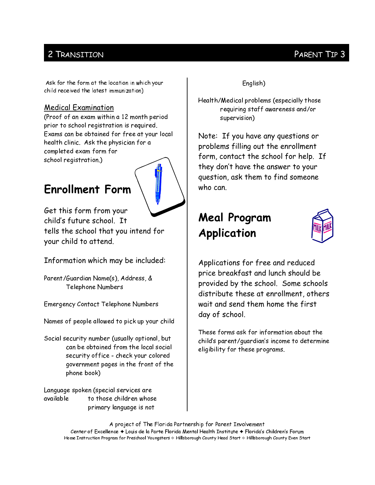## 2 TRANSITION

#### Ask for the form at the location in which your child received the latest immunization)

#### **Medical Examination**

(Proof of an exam within a 12 month period prior to school registration is required. Exams can be obtained for free at your local health clinic. Ask the physician for a completed exam form for school registration.)

## **Enrollment Form**



Get this form from your child's future school It tells the school that you intend for your child to attend.

Information which may be included:

Parent/Guardian Name(s), Address, & Telephone Numbers

**Emergency Contact Telephone Numbers** 

Names of people allowed to pick up your child

Social security number (usually optional, but can be obtained from the local social security office - check your colored government pages in the front of the phone book)

Language spoken (special services are available to those children whose primary language is not

English)

Health/Medical problems (especially those requiring staff awareness and/or supervision)

Note: If you have any questions or problems filling out the enrollment form, contact the school for help. If they don't have the answer to your question, ask them to find someone who can.

## **Meal Program** Application



Applications for free and reduced price breakfast and lunch should be provided by the school. Some schools distribute these at enrollment, others wait and send them home the first day of school.

These forms ask for information about the child's parent/quardian's income to determine eligibility for these programs.

A project of The Florida Partnership for Parent Involvement Center of Excellence ♦ Louis de la Parte Florida Mental Health Institute ♦ Florida's Children's Forum Home Instruction Program for Preschool Youngsters & Hillsborough County Head Start & Hillsborough County Even Start

## PARENT TIP 3